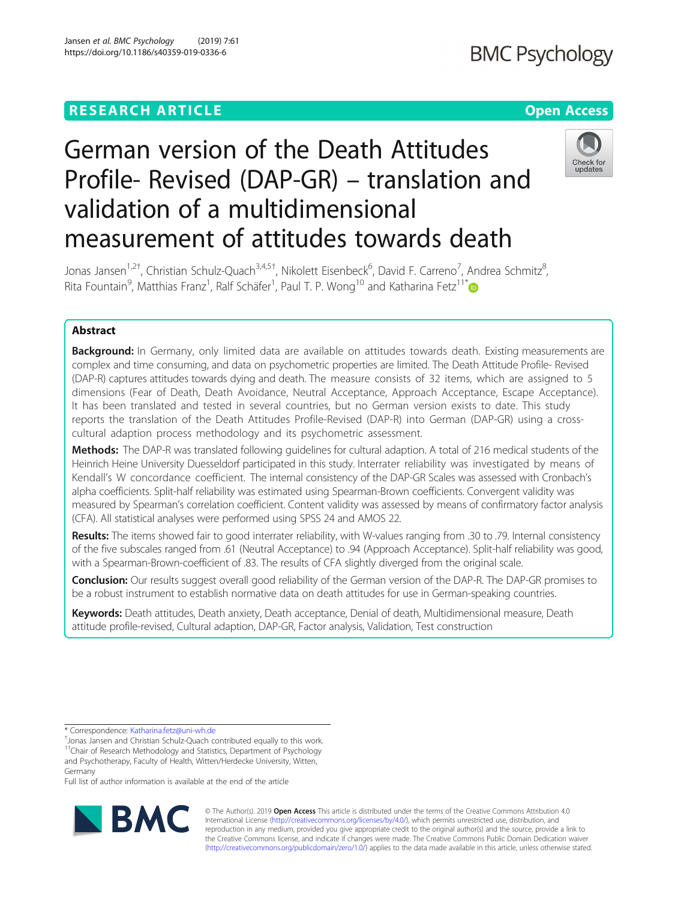## **RESEARCH ARTICLE Example 2018 12:30 THE Open Access**

# German version of the Death Attitudes Profile- Revised (DAP-GR) – translation and validation of a multidimensional measurement of attitudes towards death



Jonas Jansen<sup>1,2†</sup>, Christian Schulz-Quach<sup>3,4,5†</sup>, Nikolett Eisenbeck<sup>6</sup>, David F. Carreno<sup>7</sup>, Andrea Schmitz<sup>8</sup> , Rita Fountain<sup>9</sup>, Matthias Franz<sup>1</sup>, Ralf Schäfer<sup>1</sup>, Paul T. P. Wong<sup>10</sup> and Katharina Fetz<sup>11\*</sup>

### Abstract

Background: In Germany, only limited data are available on attitudes towards death. Existing measurements are complex and time consuming, and data on psychometric properties are limited. The Death Attitude Profile- Revised (DAP-R) captures attitudes towards dying and death. The measure consists of 32 items, which are assigned to 5 dimensions (Fear of Death, Death Avoidance, Neutral Acceptance, Approach Acceptance, Escape Acceptance). It has been translated and tested in several countries, but no German version exists to date. This study reports the translation of the Death Attitudes Profile-Revised (DAP-R) into German (DAP-GR) using a crosscultural adaption process methodology and its psychometric assessment.

Methods: The DAP-R was translated following quidelines for cultural adaption. A total of 216 medical students of the Heinrich Heine University Duesseldorf participated in this study. Interrater reliability was investigated by means of Kendall's W concordance coefficient. The internal consistency of the DAP-GR Scales was assessed with Cronbach's alpha coefficients. Split-half reliability was estimated using Spearman-Brown coefficients. Convergent validity was measured by Spearman's correlation coefficient. Content validity was assessed by means of confirmatory factor analysis (CFA). All statistical analyses were performed using SPSS 24 and AMOS 22.

Results: The items showed fair to good interrater reliability, with W-values ranging from .30 to .79. Internal consistency of the five subscales ranged from .61 (Neutral Acceptance) to .94 (Approach Acceptance). Split-half reliability was good, with a Spearman-Brown-coefficient of .83. The results of CFA slightly diverged from the original scale.

**Conclusion:** Our results suggest overall good reliability of the German version of the DAP-R. The DAP-GR promises to be a robust instrument to establish normative data on death attitudes for use in German-speaking countries.

Keywords: Death attitudes, Death anxiety, Death acceptance, Denial of death, Multidimensional measure, Death attitude profile-revised, Cultural adaption, DAP-GR, Factor analysis, Validation, Test construction

\* Correspondence: [Katharina.fetz@uni-wh.de](mailto:Katharina.fetz@uni-wh.de) †

Full list of author information is available at the end of the article



© The Author(s). 2019 **Open Access** This article is distributed under the terms of the Creative Commons Attribution 4.0 International License [\(http://creativecommons.org/licenses/by/4.0/](http://creativecommons.org/licenses/by/4.0/)), which permits unrestricted use, distribution, and reproduction in any medium, provided you give appropriate credit to the original author(s) and the source, provide a link to the Creative Commons license, and indicate if changes were made. The Creative Commons Public Domain Dedication waiver [\(http://creativecommons.org/publicdomain/zero/1.0/](http://creativecommons.org/publicdomain/zero/1.0/)) applies to the data made available in this article, unless otherwise stated.

<sup>&</sup>lt;sup>+</sup>Jonas Jansen and Christian Schulz-Quach contributed equally to this work. <sup>11</sup>Chair of Research Methodology and Statistics, Department of Psychology and Psychotherapy, Faculty of Health, Witten/Herdecke University, Witten,

Germany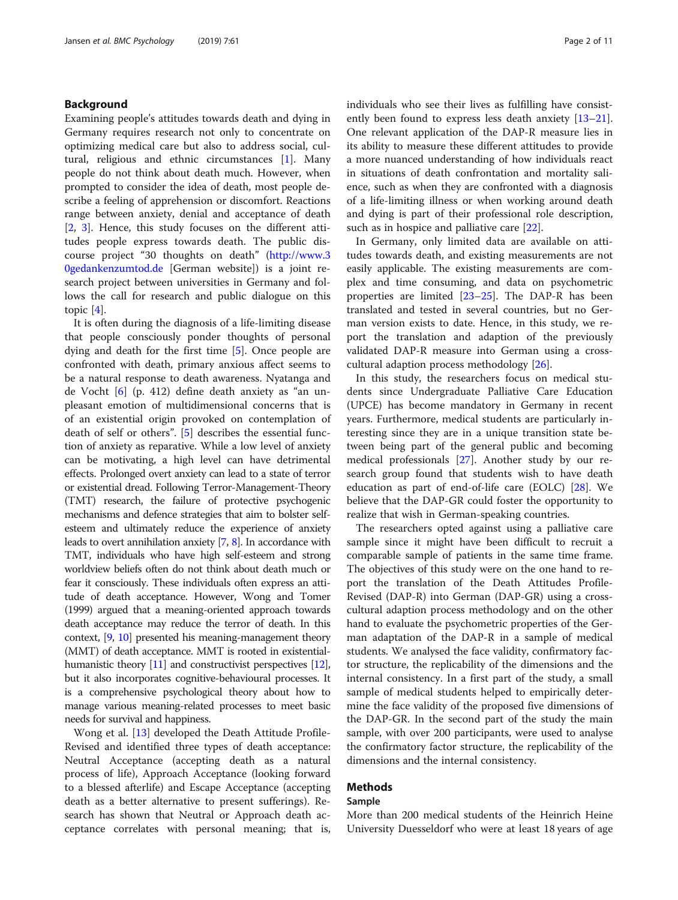#### Background

Examining people's attitudes towards death and dying in Germany requires research not only to concentrate on optimizing medical care but also to address social, cultural, religious and ethnic circumstances [[1\]](#page-9-0). Many people do not think about death much. However, when prompted to consider the idea of death, most people describe a feeling of apprehension or discomfort. Reactions range between anxiety, denial and acceptance of death [[2,](#page-9-0) [3\]](#page-9-0). Hence, this study focuses on the different attitudes people express towards death. The public discourse project "30 thoughts on death" ([http://www.3](http://www.30gedankenzumtod.de/) [0gedankenzumtod.de](http://www.30gedankenzumtod.de/) [German website]) is a joint research project between universities in Germany and follows the call for research and public dialogue on this topic [\[4](#page-9-0)].

It is often during the diagnosis of a life-limiting disease that people consciously ponder thoughts of personal dying and death for the first time [[5\]](#page-9-0). Once people are confronted with death, primary anxious affect seems to be a natural response to death awareness. Nyatanga and de Vocht [[6\]](#page-9-0) (p. 412) define death anxiety as "an unpleasant emotion of multidimensional concerns that is of an existential origin provoked on contemplation of death of self or others". [[5\]](#page-9-0) describes the essential function of anxiety as reparative. While a low level of anxiety can be motivating, a high level can have detrimental effects. Prolonged overt anxiety can lead to a state of terror or existential dread. Following Terror-Management-Theory (TMT) research, the failure of protective psychogenic mechanisms and defence strategies that aim to bolster selfesteem and ultimately reduce the experience of anxiety leads to overt annihilation anxiety [\[7,](#page-9-0) [8](#page-9-0)]. In accordance with TMT, individuals who have high self-esteem and strong worldview beliefs often do not think about death much or fear it consciously. These individuals often express an attitude of death acceptance. However, Wong and Tomer (1999) argued that a meaning-oriented approach towards death acceptance may reduce the terror of death. In this context, [\[9,](#page-9-0) [10](#page-9-0)] presented his meaning-management theory (MMT) of death acceptance. MMT is rooted in existential-humanistic theory [\[11](#page-9-0)] and constructivist perspectives [\[12](#page-10-0)], but it also incorporates cognitive-behavioural processes. It is a comprehensive psychological theory about how to manage various meaning-related processes to meet basic needs for survival and happiness.

Wong et al. [\[13\]](#page-10-0) developed the Death Attitude Profile-Revised and identified three types of death acceptance: Neutral Acceptance (accepting death as a natural process of life), Approach Acceptance (looking forward to a blessed afterlife) and Escape Acceptance (accepting death as a better alternative to present sufferings). Research has shown that Neutral or Approach death acceptance correlates with personal meaning; that is, individuals who see their lives as fulfilling have consist-ently been found to express less death anxiety [[13](#page-10-0)–[21](#page-10-0)]. One relevant application of the DAP-R measure lies in its ability to measure these different attitudes to provide a more nuanced understanding of how individuals react in situations of death confrontation and mortality salience, such as when they are confronted with a diagnosis of a life-limiting illness or when working around death and dying is part of their professional role description, such as in hospice and palliative care [\[22](#page-10-0)].

In Germany, only limited data are available on attitudes towards death, and existing measurements are not easily applicable. The existing measurements are complex and time consuming, and data on psychometric properties are limited [[23](#page-10-0)–[25\]](#page-10-0). The DAP-R has been translated and tested in several countries, but no German version exists to date. Hence, in this study, we report the translation and adaption of the previously validated DAP-R measure into German using a crosscultural adaption process methodology [\[26](#page-10-0)].

In this study, the researchers focus on medical students since Undergraduate Palliative Care Education (UPCE) has become mandatory in Germany in recent years. Furthermore, medical students are particularly interesting since they are in a unique transition state between being part of the general public and becoming medical professionals [[27\]](#page-10-0). Another study by our research group found that students wish to have death education as part of end-of-life care (EOLC) [\[28](#page-10-0)]. We believe that the DAP-GR could foster the opportunity to realize that wish in German-speaking countries.

The researchers opted against using a palliative care sample since it might have been difficult to recruit a comparable sample of patients in the same time frame. The objectives of this study were on the one hand to report the translation of the Death Attitudes Profile-Revised (DAP-R) into German (DAP-GR) using a crosscultural adaption process methodology and on the other hand to evaluate the psychometric properties of the German adaptation of the DAP-R in a sample of medical students. We analysed the face validity, confirmatory factor structure, the replicability of the dimensions and the internal consistency. In a first part of the study, a small sample of medical students helped to empirically determine the face validity of the proposed five dimensions of the DAP-GR. In the second part of the study the main sample, with over 200 participants, were used to analyse the confirmatory factor structure, the replicability of the dimensions and the internal consistency.

#### Methods

#### Sample

More than 200 medical students of the Heinrich Heine University Duesseldorf who were at least 18 years of age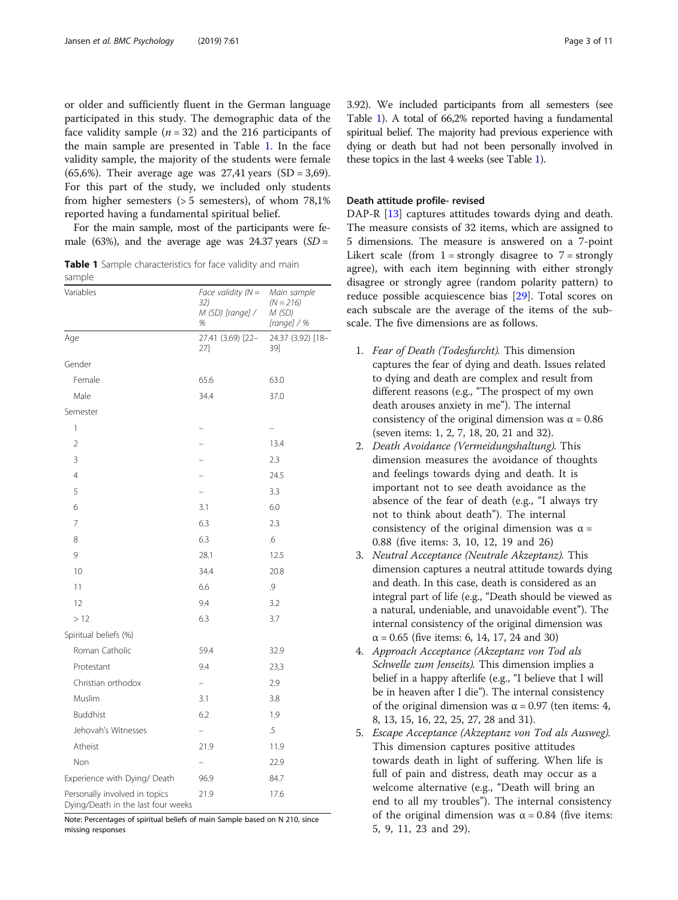or older and sufficiently fluent in the German language participated in this study. The demographic data of the face validity sample  $(n = 32)$  and the 216 participants of the main sample are presented in Table 1. In the face validity sample, the majority of the students were female (65,6%). Their average age was  $27,41$  years (SD = 3,69). For this part of the study, we included only students from higher semesters (> 5 semesters), of whom 78,1% reported having a fundamental spiritual belief.

For the main sample, most of the participants were female (63%), and the average age was  $24.37$  years (SD =

Table 1 Sample characteristics for face validity and main sample

| sample<br>Variables                                                 | Face validity $(N =$<br>32)<br>M (SD) [range] / | Main sample<br>$(N = 216)$<br>M (SD) |
|---------------------------------------------------------------------|-------------------------------------------------|--------------------------------------|
| Age                                                                 | %<br>27.41 (3.69) [22-                          | [range] / %<br>24.37 (3.92) [18-     |
|                                                                     | 27]                                             | 39]                                  |
| Gender                                                              |                                                 |                                      |
| Female                                                              | 65.6                                            | 63.0                                 |
| Male                                                                | 34.4                                            | 37.0                                 |
| Semester                                                            |                                                 |                                      |
| 1                                                                   |                                                 |                                      |
| $\overline{2}$                                                      |                                                 | 13.4                                 |
| 3                                                                   |                                                 | 2.3                                  |
| $\overline{4}$                                                      |                                                 | 24.5                                 |
| 5                                                                   |                                                 | 3.3                                  |
| 6                                                                   | 3.1                                             | 6.0                                  |
| 7                                                                   | 6.3                                             | 2.3                                  |
| 8                                                                   | 6.3                                             | .6                                   |
| 9                                                                   | 28.1                                            | 12.5                                 |
| 10                                                                  | 34.4                                            | 20.8                                 |
| 11                                                                  | 6.6                                             | 9.                                   |
| 12                                                                  | 9.4                                             | 3.2                                  |
| >12                                                                 | 6.3                                             | 3.7                                  |
| Spiritual beliefs (%)                                               |                                                 |                                      |
| Roman Catholic                                                      | 59.4                                            | 32.9                                 |
| Protestant                                                          | 9.4                                             | 23,3                                 |
| Christian orthodox                                                  |                                                 | 2.9                                  |
| Muslim                                                              | 3.1                                             | 3.8                                  |
| <b>Buddhist</b>                                                     | 6.2                                             | 1.9                                  |
| Jehovah's Witnesses                                                 | Ξ.                                              | $.5\,$                               |
| Atheist                                                             | 21.9                                            | 11.9                                 |
| Non                                                                 |                                                 | 22.9                                 |
| Experience with Dying/ Death                                        | 96.9                                            | 84.7                                 |
| Personally involved in topics<br>Dying/Death in the last four weeks | 21.9                                            | 17.6                                 |

Note: Percentages of spiritual beliefs of main Sample based on N 210, since missing responses

3.92). We included participants from all semesters (see Table 1). A total of 66,2% reported having a fundamental spiritual belief. The majority had previous experience with dying or death but had not been personally involved in these topics in the last 4 weeks (see Table 1).

#### Death attitude profile- revised

DAP-R [[13](#page-10-0)] captures attitudes towards dying and death. The measure consists of 32 items, which are assigned to 5 dimensions. The measure is answered on a 7-point Likert scale (from  $1 =$  strongly disagree to  $7 =$  strongly agree), with each item beginning with either strongly disagree or strongly agree (random polarity pattern) to reduce possible acquiescence bias [\[29](#page-10-0)]. Total scores on each subscale are the average of the items of the subscale. The five dimensions are as follows.

- 1. Fear of Death (Todesfurcht). This dimension captures the fear of dying and death. Issues related to dying and death are complex and result from different reasons (e.g., "The prospect of my own death arouses anxiety in me"). The internal consistency of the original dimension was  $\alpha = 0.86$ (seven items: 1, 2, 7, 18, 20, 21 and 32).
- 2. Death Avoidance (Vermeidungshaltung). This dimension measures the avoidance of thoughts and feelings towards dying and death. It is important not to see death avoidance as the absence of the fear of death (e.g., "I always try not to think about death"). The internal consistency of the original dimension was  $\alpha =$ 0.88 (five items: 3, 10, 12, 19 and 26)
- 3. Neutral Acceptance (Neutrale Akzeptanz). This dimension captures a neutral attitude towards dying and death. In this case, death is considered as an integral part of life (e.g., "Death should be viewed as a natural, undeniable, and unavoidable event"). The internal consistency of the original dimension was  $\alpha$  = 0.65 (five items: 6, 14, 17, 24 and 30)
- 4. Approach Acceptance (Akzeptanz von Tod als Schwelle zum Jenseits). This dimension implies a belief in a happy afterlife (e.g., "I believe that I will be in heaven after I die"). The internal consistency of the original dimension was  $α = 0.97$  (ten items: 4, 8, 13, 15, 16, 22, 25, 27, 28 and 31).
- 5. Escape Acceptance (Akzeptanz von Tod als Ausweg). This dimension captures positive attitudes towards death in light of suffering. When life is full of pain and distress, death may occur as a welcome alternative (e.g., "Death will bring an end to all my troubles"). The internal consistency of the original dimension was  $\alpha = 0.84$  (five items: 5, 9, 11, 23 and 29).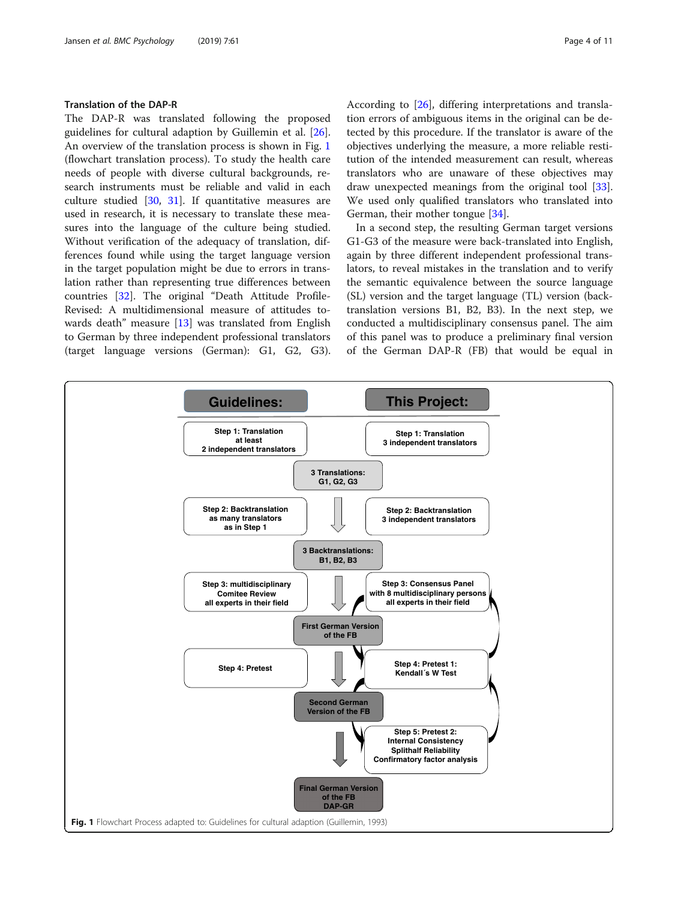#### Translation of the DAP-R

The DAP-R was translated following the proposed guidelines for cultural adaption by Guillemin et al. [\[26](#page-10-0)]. An overview of the translation process is shown in Fig. 1 (flowchart translation process). To study the health care needs of people with diverse cultural backgrounds, research instruments must be reliable and valid in each culture studied [[30,](#page-10-0) [31](#page-10-0)]. If quantitative measures are used in research, it is necessary to translate these measures into the language of the culture being studied. Without verification of the adequacy of translation, differences found while using the target language version in the target population might be due to errors in translation rather than representing true differences between countries [\[32\]](#page-10-0). The original "Death Attitude Profile-Revised: A multidimensional measure of attitudes towards death" measure [\[13](#page-10-0)] was translated from English to German by three independent professional translators (target language versions (German): G1, G2, G3). According to [[26\]](#page-10-0), differing interpretations and translation errors of ambiguous items in the original can be detected by this procedure. If the translator is aware of the objectives underlying the measure, a more reliable restitution of the intended measurement can result, whereas translators who are unaware of these objectives may draw unexpected meanings from the original tool [\[33](#page-10-0)]. We used only qualified translators who translated into German, their mother tongue [\[34](#page-10-0)].

In a second step, the resulting German target versions G1-G3 of the measure were back-translated into English, again by three different independent professional translators, to reveal mistakes in the translation and to verify the semantic equivalence between the source language (SL) version and the target language (TL) version (backtranslation versions B1, B2, B3). In the next step, we conducted a multidisciplinary consensus panel. The aim of this panel was to produce a preliminary final version of the German DAP-R (FB) that would be equal in

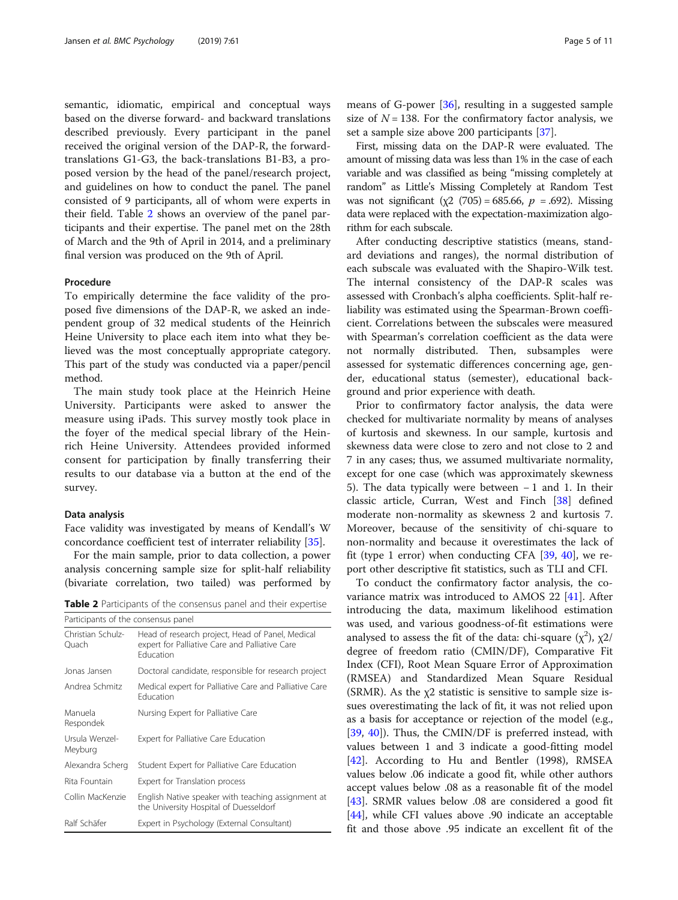semantic, idiomatic, empirical and conceptual ways based on the diverse forward- and backward translations described previously. Every participant in the panel received the original version of the DAP-R, the forwardtranslations G1-G3, the back-translations B1-B3, a proposed version by the head of the panel/research project, and guidelines on how to conduct the panel. The panel consisted of 9 participants, all of whom were experts in their field. Table 2 shows an overview of the panel participants and their expertise. The panel met on the 28th of March and the 9th of April in 2014, and a preliminary final version was produced on the 9th of April.

#### Procedure

To empirically determine the face validity of the proposed five dimensions of the DAP-R, we asked an independent group of 32 medical students of the Heinrich Heine University to place each item into what they believed was the most conceptually appropriate category. This part of the study was conducted via a paper/pencil method.

The main study took place at the Heinrich Heine University. Participants were asked to answer the measure using iPads. This survey mostly took place in the foyer of the medical special library of the Heinrich Heine University. Attendees provided informed consent for participation by finally transferring their results to our database via a button at the end of the survey.

#### Data analysis

Face validity was investigated by means of Kendall's W concordance coefficient test of interrater reliability [[35](#page-10-0)].

For the main sample, prior to data collection, a power analysis concerning sample size for split-half reliability (bivariate correlation, two tailed) was performed by

Table 2 Participants of the consensus panel and their expertise

| Participants of the consensus panel |                                                                                                                        |  |  |  |
|-------------------------------------|------------------------------------------------------------------------------------------------------------------------|--|--|--|
| Christian Schulz-<br>Ouach          | Head of research project, Head of Panel, Medical<br>expert for Palliative Care and Palliative Care<br><b>Education</b> |  |  |  |
| Jonas Jansen                        | Doctoral candidate, responsible for research project                                                                   |  |  |  |
| Andrea Schmitz                      | Medical expert for Palliative Care and Palliative Care<br><b>Education</b>                                             |  |  |  |
| Manuela<br>Respondek                | Nursing Expert for Palliative Care                                                                                     |  |  |  |
| Ursula Wenzel-<br>Meyburg           | Expert for Palliative Care Education                                                                                   |  |  |  |
| Alexandra Scherg                    | Student Expert for Palliative Care Education                                                                           |  |  |  |
| Rita Fountain                       | Expert for Translation process                                                                                         |  |  |  |
| Collin MacKenzie                    | English Native speaker with teaching assignment at<br>the University Hospital of Duesseldorf                           |  |  |  |
| Ralf Schäfer                        | Expert in Psychology (External Consultant)                                                                             |  |  |  |

means of G-power [\[36\]](#page-10-0), resulting in a suggested sample size of  $N = 138$ . For the confirmatory factor analysis, we set a sample size above 200 participants [[37\]](#page-10-0).

First, missing data on the DAP-R were evaluated. The amount of missing data was less than 1% in the case of each variable and was classified as being "missing completely at random" as Little's Missing Completely at Random Test was not significant ( $\chi$ 2 (705) = 685.66,  $p = .692$ ). Missing data were replaced with the expectation-maximization algorithm for each subscale.

After conducting descriptive statistics (means, standard deviations and ranges), the normal distribution of each subscale was evaluated with the Shapiro-Wilk test. The internal consistency of the DAP-R scales was assessed with Cronbach's alpha coefficients. Split-half reliability was estimated using the Spearman-Brown coefficient. Correlations between the subscales were measured with Spearman's correlation coefficient as the data were not normally distributed. Then, subsamples were assessed for systematic differences concerning age, gender, educational status (semester), educational background and prior experience with death.

Prior to confirmatory factor analysis, the data were checked for multivariate normality by means of analyses of kurtosis and skewness. In our sample, kurtosis and skewness data were close to zero and not close to 2 and 7 in any cases; thus, we assumed multivariate normality, except for one case (which was approximately skewness 5). The data typically were between − 1 and 1. In their classic article, Curran, West and Finch [\[38](#page-10-0)] defined moderate non-normality as skewness 2 and kurtosis 7. Moreover, because of the sensitivity of chi-square to non-normality and because it overestimates the lack of fit (type 1 error) when conducting CFA  $[39, 40]$  $[39, 40]$  $[39, 40]$  $[39, 40]$  $[39, 40]$ , we report other descriptive fit statistics, such as TLI and CFI.

To conduct the confirmatory factor analysis, the covariance matrix was introduced to AMOS 22 [[41\]](#page-10-0). After introducing the data, maximum likelihood estimation was used, and various goodness-of-fit estimations were analysed to assess the fit of the data: chi-square  $(\chi^2)$ ,  $\chi$ 2/ degree of freedom ratio (CMIN/DF), Comparative Fit Index (CFI), Root Mean Square Error of Approximation (RMSEA) and Standardized Mean Square Residual (SRMR). As the χ2 statistic is sensitive to sample size issues overestimating the lack of fit, it was not relied upon as a basis for acceptance or rejection of the model (e.g., [[39,](#page-10-0) [40](#page-10-0)]). Thus, the CMIN/DF is preferred instead, with values between 1 and 3 indicate a good-fitting model [[42\]](#page-10-0). According to Hu and Bentler (1998), RMSEA values below .06 indicate a good fit, while other authors accept values below .08 as a reasonable fit of the model [[43\]](#page-10-0). SRMR values below .08 are considered a good fit [[44\]](#page-10-0), while CFI values above .90 indicate an acceptable fit and those above .95 indicate an excellent fit of the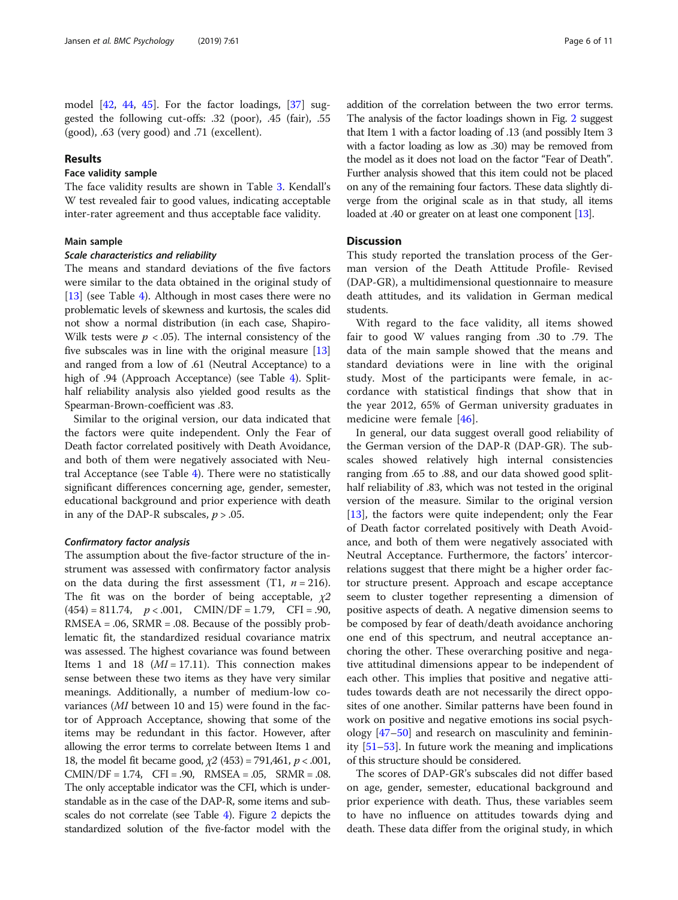model [\[42](#page-10-0), [44](#page-10-0), [45\]](#page-10-0). For the factor loadings, [[37\]](#page-10-0) suggested the following cut-offs: .32 (poor), .45 (fair), .55 (good), .63 (very good) and .71 (excellent).

#### Results

#### Face validity sample

The face validity results are shown in Table [3](#page-6-0). Kendall's W test revealed fair to good values, indicating acceptable inter-rater agreement and thus acceptable face validity.

#### Main sample

#### Scale characteristics and reliability

The means and standard deviations of the five factors were similar to the data obtained in the original study of [[13\]](#page-10-0) (see Table [4\)](#page-7-0). Although in most cases there were no problematic levels of skewness and kurtosis, the scales did not show a normal distribution (in each case, Shapiro-Wilk tests were  $p < .05$ ). The internal consistency of the five subscales was in line with the original measure [[13](#page-10-0)] and ranged from a low of .61 (Neutral Acceptance) to a high of .9[4](#page-7-0) (Approach Acceptance) (see Table 4). Splithalf reliability analysis also yielded good results as the Spearman-Brown-coefficient was .83.

Similar to the original version, our data indicated that the factors were quite independent. Only the Fear of Death factor correlated positively with Death Avoidance, and both of them were negatively associated with Neutral Acceptance (see Table [4\)](#page-7-0). There were no statistically significant differences concerning age, gender, semester, educational background and prior experience with death in any of the DAP-R subscales,  $p > .05$ .

#### Confirmatory factor analysis

The assumption about the five-factor structure of the instrument was assessed with confirmatory factor analysis on the data during the first assessment (T1,  $n = 216$ ). The fit was on the border of being acceptable,  $\chi$ 2  $(454) = 811.74$ ,  $p < .001$ , CMIN/DF = 1.79, CFI = .90,  $RMSEA = .06$ ,  $SRMR = .08$ . Because of the possibly problematic fit, the standardized residual covariance matrix was assessed. The highest covariance was found between Items 1 and 18  $(MI = 17.11)$ . This connection makes sense between these two items as they have very similar meanings. Additionally, a number of medium-low covariances (MI between 10 and 15) were found in the factor of Approach Acceptance, showing that some of the items may be redundant in this factor. However, after allowing the error terms to correlate between Items 1 and 18, the model fit became good,  $\chi^2$  (453) = 791,461,  $p < .001$ ,  $CMIN/DF = 1.74$ ,  $CFI = .90$ ,  $RMSEA = .05$ ,  $SRMR = .08$ . The only acceptable indicator was the CFI, which is understandable as in the case of the DAP-R, some items and subscales do not correlate (see Table [4\)](#page-7-0). Figure [2](#page-8-0) depicts the standardized solution of the five-factor model with the

addition of the correlation between the two error terms. The analysis of the factor loadings shown in Fig. [2](#page-8-0) suggest that Item 1 with a factor loading of .13 (and possibly Item 3 with a factor loading as low as .30) may be removed from the model as it does not load on the factor "Fear of Death". Further analysis showed that this item could not be placed on any of the remaining four factors. These data slightly diverge from the original scale as in that study, all items loaded at .40 or greater on at least one component [[13](#page-10-0)].

#### **Discussion**

This study reported the translation process of the German version of the Death Attitude Profile- Revised (DAP-GR), a multidimensional questionnaire to measure death attitudes, and its validation in German medical students.

With regard to the face validity, all items showed fair to good W values ranging from .30 to .79. The data of the main sample showed that the means and standard deviations were in line with the original study. Most of the participants were female, in accordance with statistical findings that show that in the year 2012, 65% of German university graduates in medicine were female [[46\]](#page-10-0).

In general, our data suggest overall good reliability of the German version of the DAP-R (DAP-GR). The subscales showed relatively high internal consistencies ranging from .65 to .88, and our data showed good splithalf reliability of .83, which was not tested in the original version of the measure. Similar to the original version [[13\]](#page-10-0), the factors were quite independent; only the Fear of Death factor correlated positively with Death Avoidance, and both of them were negatively associated with Neutral Acceptance. Furthermore, the factors' intercorrelations suggest that there might be a higher order factor structure present. Approach and escape acceptance seem to cluster together representing a dimension of positive aspects of death. A negative dimension seems to be composed by fear of death/death avoidance anchoring one end of this spectrum, and neutral acceptance anchoring the other. These overarching positive and negative attitudinal dimensions appear to be independent of each other. This implies that positive and negative attitudes towards death are not necessarily the direct opposites of one another. Similar patterns have been found in work on positive and negative emotions ins social psychology [\[47](#page-10-0)–[50\]](#page-10-0) and research on masculinity and femininity [[51](#page-10-0)–[53](#page-10-0)]. In future work the meaning and implications of this structure should be considered.

The scores of DAP-GR's subscales did not differ based on age, gender, semester, educational background and prior experience with death. Thus, these variables seem to have no influence on attitudes towards dying and death. These data differ from the original study, in which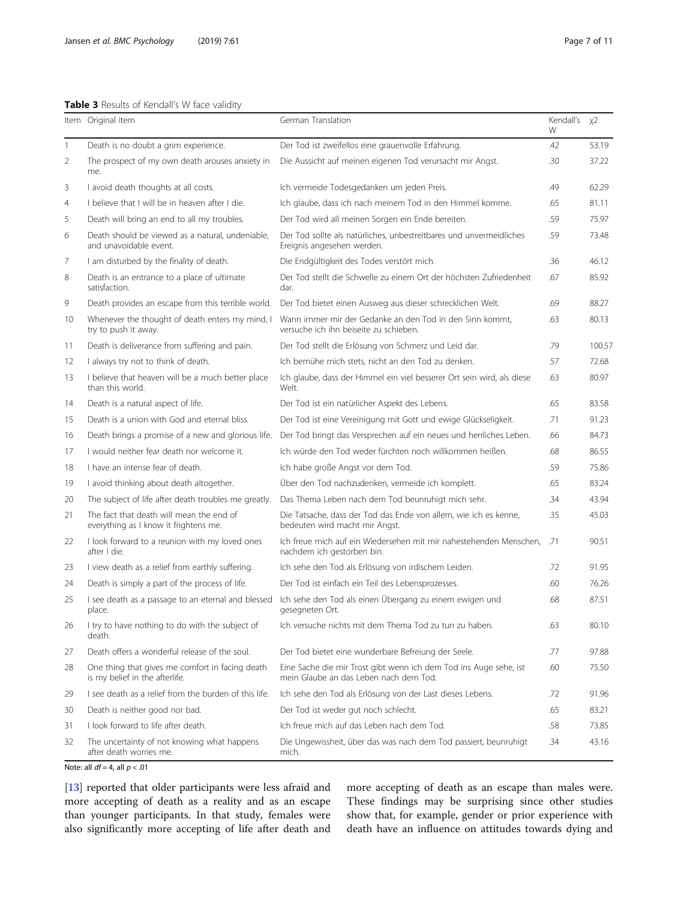<span id="page-6-0"></span>

|              | Item Original item                                                                | German Translation                                                                                          | Kendall's<br>W | x2     |
|--------------|-----------------------------------------------------------------------------------|-------------------------------------------------------------------------------------------------------------|----------------|--------|
| $\mathbf{1}$ | Death is no doubt a grim experience.                                              | Der Tod ist zweifellos eine grauenvolle Erfahrung.                                                          | .42            | 53.19  |
| 2            | The prospect of my own death arouses anxiety in<br>me.                            | Die Aussicht auf meinen eigenen Tod verursacht mir Angst.                                                   | .30            | 37.22  |
| 3            | I avoid death thoughts at all costs.                                              | Ich vermeide Todesgedanken um jeden Preis.                                                                  | .49            | 62.29  |
| 4            | I believe that I will be in heaven after I die.                                   | Ich glaube, dass ich nach meinem Tod in den Himmel komme.                                                   | .65            | 81.11  |
| 5            | Death will bring an end to all my troubles.                                       | Der Tod wird all meinen Sorgen ein Ende bereiten.                                                           | .59            | 75.97  |
| 6            | Death should be viewed as a natural, undeniable,<br>and unavoidable event.        | Der Tod sollte als natürliches, unbestreitbares und unvermeidliches<br>Ereignis angesehen werden.           | .59            | 73.48  |
| 7            | I am disturbed by the finality of death.                                          | Die Endgültigkeit des Todes verstört mich.                                                                  | .36            | 46.12  |
| 8            | Death is an entrance to a place of ultimate<br>satisfaction.                      | Der Tod stellt die Schwelle zu einem Ort der höchsten Zufriedenheit<br>dar.                                 | .67            | 85.92  |
| 9            | Death provides an escape from this terrible world.                                | Der Tod bietet einen Ausweg aus dieser schrecklichen Welt.                                                  | .69            | 88.27  |
| 10           | Whenever the thought of death enters my mind, I<br>try to push it away.           | Wann immer mir der Gedanke an den Tod in den Sinn kommt,<br>versuche ich ihn beiseite zu schieben.          | .63            | 80.13  |
| 11           | Death is deliverance from suffering and pain.                                     | Der Tod stellt die Erlösung von Schmerz und Leid dar.                                                       | .79            | 100.57 |
| 12           | I always try not to think of death.                                               | Ich bemühe mich stets, nicht an den Tod zu denken.                                                          | .57            | 72.68  |
| 13           | I believe that heaven will be a much better place<br>than this world.             | Ich glaube, dass der Himmel ein viel besserer Ort sein wird, als diese<br>Welt.                             | .63            | 80.97  |
| 14           | Death is a natural aspect of life.                                                | Der Tod ist ein natürlicher Aspekt des Lebens.                                                              | .65            | 83.58  |
| 15           | Death is a union with God and eternal bliss.                                      | Der Tod ist eine Vereinigung mit Gott und ewige Glückseligkeit.                                             | .71            | 91.23  |
| 16           | Death brings a promise of a new and glorious life.                                | Der Tod bringt das Versprechen auf ein neues und herrliches Leben.                                          | .66            | 84.73  |
| 17           | I would neither fear death nor welcome it.                                        | Ich würde den Tod weder fürchten noch willkommen heißen.                                                    | .68            | 86.55  |
| 18           | I have an intense fear of death.                                                  | Ich habe große Angst vor dem Tod.                                                                           | .59            | 75.86  |
| 19           | I avoid thinking about death altogether.                                          | Über den Tod nachzudenken, vermeide ich komplett.                                                           | .65            | 83.24  |
| 20           | The subject of life after death troubles me greatly.                              | Das Thema Leben nach dem Tod beunruhigt mich sehr.                                                          | .34            | 43.94  |
| 21           | The fact that death will mean the end of<br>everything as I know it frightens me. | Die Tatsache, dass der Tod das Ende von allem, wie ich es kenne,<br>bedeuten wird macht mir Angst.          | .35            | 45.03  |
| 22           | I look forward to a reunion with my loved ones<br>after I die.                    | Ich freue mich auf ein Wiedersehen mit mir nahestehenden Menschen,<br>nachdem ich gestorben bin.            | .71            | 90.51  |
| 23           | I view death as a relief from earthly suffering.                                  | Ich sehe den Tod als Erlösung von irdischem Leiden.                                                         | .72            | 91.95  |
| 24           | Death is simply a part of the process of life.                                    | Der Tod ist einfach ein Teil des Lebensprozesses.                                                           | .60            | 76.26  |
| 25           | I see death as a passage to an eternal and blessed<br>place.                      | Ich sehe den Tod als einen Übergang zu einem ewigen und<br>gesegneten Ort.                                  | .68            | 87.51  |
| 26           | I try to have nothing to do with the subject of<br>death.                         | Ich versuche nichts mit dem Thema Tod zu tun zu haben.                                                      | .63            | 80.10  |
| 27           | Death offers a wonderful release of the soul.                                     | Der Tod bietet eine wunderbare Befreiung der Seele.                                                         | .77            | 97.88  |
| 28           | One thing that gives me comfort in facing death<br>is my belief in the afterlife. | Eine Sache die mir Trost gibt wenn ich dem Tod ins Auge sehe, ist<br>mein Glaube an das Leben nach dem Tod. | .60            | 75.50  |
| 29           | I see death as a relief from the burden of this life.                             | Ich sehe den Tod als Erlösung von der Last dieses Lebens.                                                   | .72            | 91.96  |
| 30           | Death is neither good nor bad.                                                    | Der Tod ist weder gut noch schlecht.                                                                        | .65            | 83.21  |
| 31           | I look forward to life after death.                                               | Ich freue mich auf das Leben nach dem Tod.                                                                  | .58            | 73.85  |
| 32           | The uncertainty of not knowing what happens<br>after death worries me.            | Die Ungewissheit, über das was nach dem Tod passiert, beunruhigt<br>mich.                                   | .34            | 43.16  |

Note: all  $df = 4$ , all  $p < .01$ 

[[13\]](#page-10-0) reported that older participants were less afraid and more accepting of death as a reality and as an escape than younger participants. In that study, females were also significantly more accepting of life after death and

more accepting of death as an escape than males were. These findings may be surprising since other studies show that, for example, gender or prior experience with death have an influence on attitudes towards dying and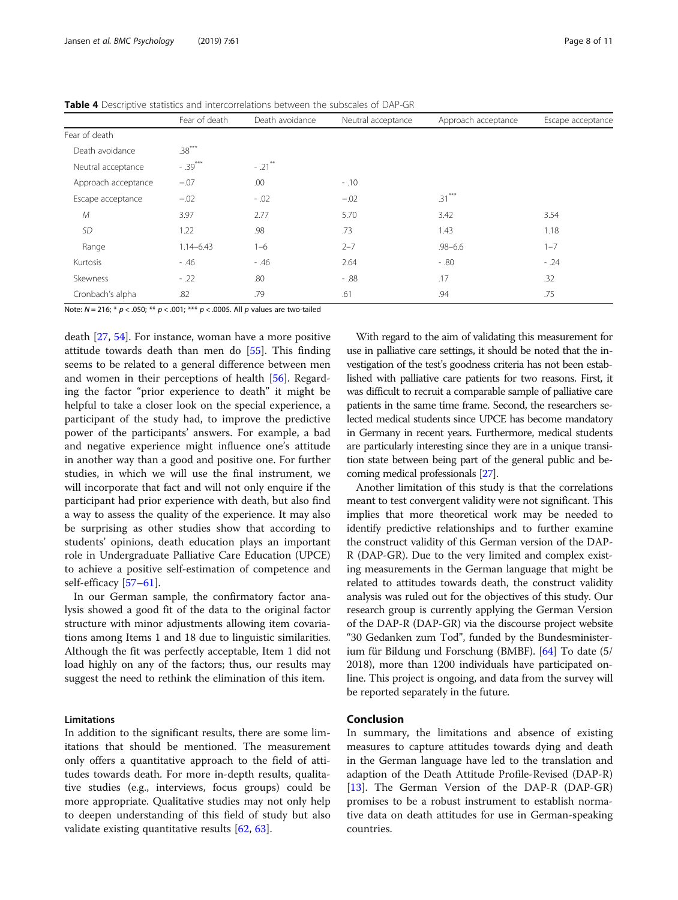|                     | Fear of death | Death avoidance | Neutral acceptance | Approach acceptance | Escape acceptance |
|---------------------|---------------|-----------------|--------------------|---------------------|-------------------|
| Fear of death       |               |                 |                    |                     |                   |
| Death avoidance     | $.38***$      |                 |                    |                     |                   |
| Neutral acceptance  | $-.39***$     | $-.21$ **       |                    |                     |                   |
| Approach acceptance | $-.07$        | .00             | $-.10$             |                     |                   |
| Escape acceptance   | $-.02$        | $-.02$          | $-.02$             | $.31***$            |                   |
| М                   | 3.97          | 2.77            | 5.70               | 3.42                | 3.54              |
| <b>SD</b>           | 1.22          | .98             | .73                | 1.43                | 1.18              |
| Range               | $1.14 - 6.43$ | $1 - 6$         | $2 - 7$            | $.98 - 6.6$         | $1 - 7$           |
| Kurtosis            | $-0.46$       | $-0.46$         | 2.64               | $-0.80$             | $-.24$            |
| Skewness            | $-.22$        | .80             | $-0.88$            | .17                 | .32               |
| Cronbach's alpha    | .82           | .79             | .61                | .94                 | .75               |

<span id="page-7-0"></span>Table 4 Descriptive statistics and intercorrelations between the subscales of DAP-GR

Note:  $N = 216$ ; \*  $p < .050$ ; \*\*  $p < .001$ ; \*\*\*  $p < .0005$ . All  $p$  values are two-tailed

death [\[27](#page-10-0), [54\]](#page-10-0). For instance, woman have a more positive attitude towards death than men do [[55](#page-10-0)]. This finding seems to be related to a general difference between men and women in their perceptions of health [[56](#page-10-0)]. Regarding the factor "prior experience to death" it might be helpful to take a closer look on the special experience, a participant of the study had, to improve the predictive power of the participants' answers. For example, a bad and negative experience might influence one's attitude in another way than a good and positive one. For further studies, in which we will use the final instrument, we will incorporate that fact and will not only enquire if the participant had prior experience with death, but also find a way to assess the quality of the experience. It may also be surprising as other studies show that according to students' opinions, death education plays an important role in Undergraduate Palliative Care Education (UPCE) to achieve a positive self-estimation of competence and self-efficacy [\[57](#page-10-0)-[61\]](#page-10-0).

In our German sample, the confirmatory factor analysis showed a good fit of the data to the original factor structure with minor adjustments allowing item covariations among Items 1 and 18 due to linguistic similarities. Although the fit was perfectly acceptable, Item 1 did not load highly on any of the factors; thus, our results may suggest the need to rethink the elimination of this item.

#### Limitations

In addition to the significant results, there are some limitations that should be mentioned. The measurement only offers a quantitative approach to the field of attitudes towards death. For more in-depth results, qualitative studies (e.g., interviews, focus groups) could be more appropriate. Qualitative studies may not only help to deepen understanding of this field of study but also validate existing quantitative results [\[62](#page-10-0), [63\]](#page-10-0).

With regard to the aim of validating this measurement for use in palliative care settings, it should be noted that the investigation of the test's goodness criteria has not been established with palliative care patients for two reasons. First, it was difficult to recruit a comparable sample of palliative care patients in the same time frame. Second, the researchers selected medical students since UPCE has become mandatory in Germany in recent years. Furthermore, medical students are particularly interesting since they are in a unique transition state between being part of the general public and becoming medical professionals [\[27](#page-10-0)].

Another limitation of this study is that the correlations meant to test convergent validity were not significant. This implies that more theoretical work may be needed to identify predictive relationships and to further examine the construct validity of this German version of the DAP-R (DAP-GR). Due to the very limited and complex existing measurements in the German language that might be related to attitudes towards death, the construct validity analysis was ruled out for the objectives of this study. Our research group is currently applying the German Version of the DAP-R (DAP-GR) via the discourse project website "30 Gedanken zum Tod", funded by the Bundesministerium für Bildung und Forschung (BMBF). [[64](#page-10-0)] To date (5/ 2018), more than 1200 individuals have participated online. This project is ongoing, and data from the survey will be reported separately in the future.

#### Conclusion

In summary, the limitations and absence of existing measures to capture attitudes towards dying and death in the German language have led to the translation and adaption of the Death Attitude Profile-Revised (DAP-R) [[13\]](#page-10-0). The German Version of the DAP-R (DAP-GR) promises to be a robust instrument to establish normative data on death attitudes for use in German-speaking countries.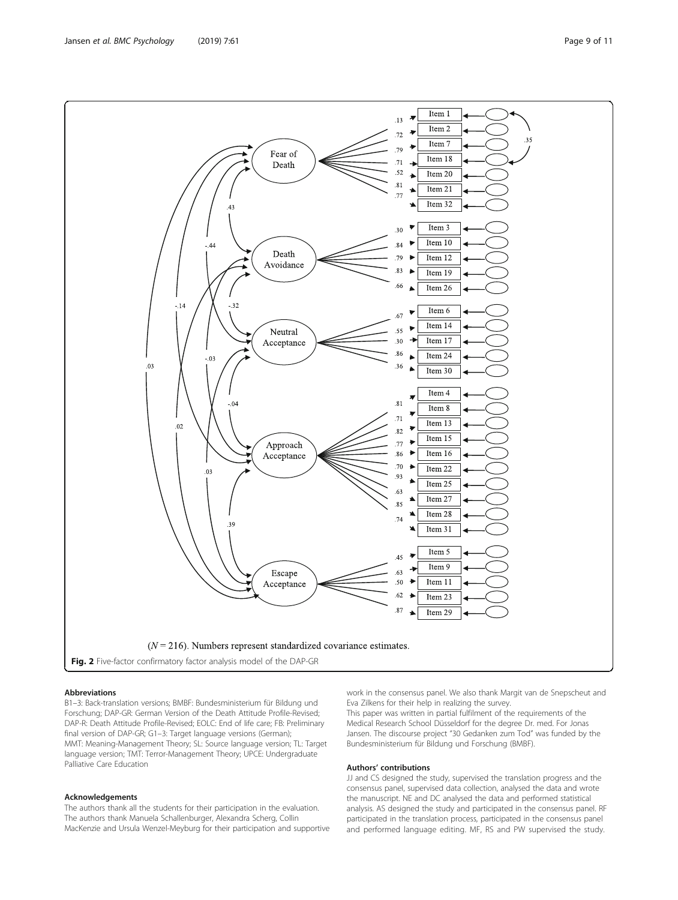#### Abbreviations

B1–3: Back-translation versions; BMBF: Bundesministerium für Bildung und Forschung; DAP-GR: German Version of the Death Attitude Profile-Revised; DAP-R: Death Attitude Profile-Revised; EOLC: End of life care; FB: Preliminary final version of DAP-GR; G1–3: Target language versions (German); MMT: Meaning-Management Theory; SL: Source language version; TL: Target language version; TMT: Terror-Management Theory; UPCE: Undergraduate Palliative Care Education

#### Acknowledgements

The authors thank all the students for their participation in the evaluation. The authors thank Manuela Schallenburger, Alexandra Scherg, Collin MacKenzie and Ursula Wenzel-Meyburg for their participation and supportive work in the consensus panel. We also thank Margit van de Snepscheut and Eva Zilkens for their help in realizing the survey.

This paper was written in partial fulfilment of the requirements of the Medical Research School Düsseldorf for the degree Dr. med. For Jonas Jansen. The discourse project "30 Gedanken zum Tod" was funded by the Bundesministerium für Bildung und Forschung (BMBF).

#### Authors' contributions

JJ and CS designed the study, supervised the translation progress and the consensus panel, supervised data collection, analysed the data and wrote the manuscript. NE and DC analysed the data and performed statistical analysis. AS designed the study and participated in the consensus panel. RF participated in the translation process, participated in the consensus panel and performed language editing. MF, RS and PW supervised the study.

<span id="page-8-0"></span>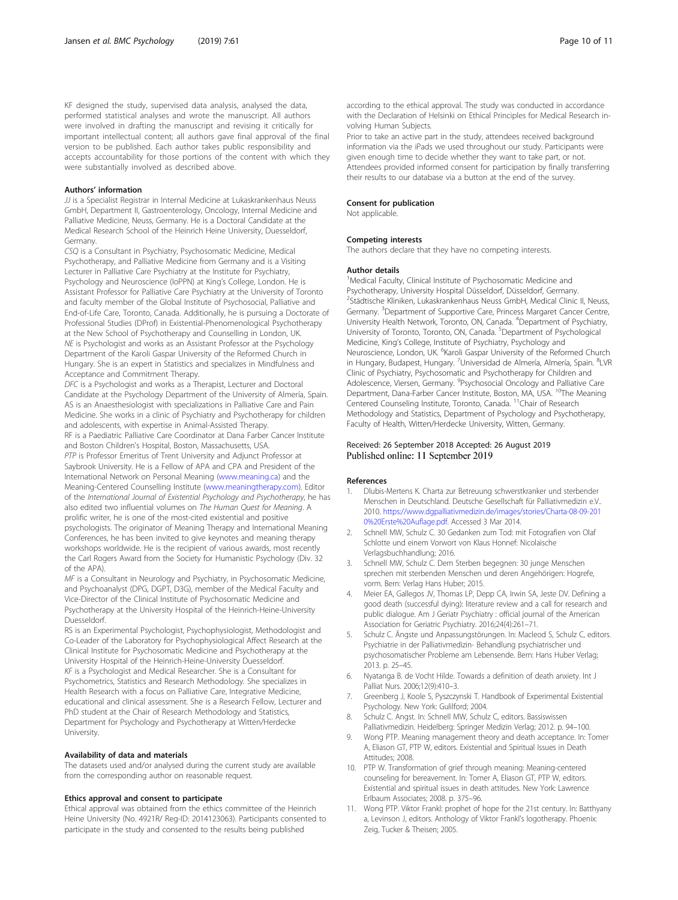<span id="page-9-0"></span>KF designed the study, supervised data analysis, analysed the data, performed statistical analyses and wrote the manuscript. All authors were involved in drafting the manuscript and revising it critically for important intellectual content; all authors gave final approval of the final version to be published. Each author takes public responsibility and accepts accountability for those portions of the content with which they were substantially involved as described above.

#### Authors' information

JJ is a Specialist Registrar in Internal Medicine at Lukaskrankenhaus Neuss GmbH, Department II, Gastroenterology, Oncology, Internal Medicine and Palliative Medicine, Neuss, Germany. He is a Doctoral Candidate at the Medical Research School of the Heinrich Heine University, Duesseldorf, Germany.

CSQ is a Consultant in Psychiatry, Psychosomatic Medicine, Medical Psychotherapy, and Palliative Medicine from Germany and is a Visiting Lecturer in Palliative Care Psychiatry at the Institute for Psychiatry, Psychology and Neuroscience (IoPPN) at King's College, London. He is Assistant Professor for Palliative Care Psychiatry at the University of Toronto and faculty member of the Global Institute of Psychosocial, Palliative and End-of-Life Care, Toronto, Canada. Additionally, he is pursuing a Doctorate of Professional Studies (DProf) in Existential-Phenomenological Psychotherapy at the New School of Psychotherapy and Counselling in London, UK. NE is Psychologist and works as an Assistant Professor at the Psychology Department of the Karoli Gaspar University of the Reformed Church in Hungary. She is an expert in Statistics and specializes in Mindfulness and Acceptance and Commitment Therapy.

DFC is a Psychologist and works as a Therapist, Lecturer and Doctoral Candidate at the Psychology Department of the University of Almería, Spain. AS is an Anaesthesiologist with specializations in Palliative Care and Pain Medicine. She works in a clinic of Psychiatry and Psychotherapy for children and adolescents, with expertise in Animal-Assisted Therapy.

RF is a Paediatric Palliative Care Coordinator at Dana Farber Cancer Institute and Boston Children's Hospital, Boston, Massachusetts, USA. PTP is Professor Emeritus of Trent University and Adjunct Professor at Saybrook University. He is a Fellow of APA and CPA and President of the International Network on Personal Meaning [\(www.meaning.ca](http://www.meaning.ca/)) and the Meaning-Centered Counselling Institute ([www.meaningtherapy.com](http://www.meaningtherapy.com/)). Editor of the International Journal of Existential Psychology and Psychotherapy, he has also edited two influential volumes on The Human Quest for Meaning. A prolific writer, he is one of the most-cited existential and positive psychologists. The originator of Meaning Therapy and International Meaning Conferences, he has been invited to give keynotes and meaning therapy workshops worldwide. He is the recipient of various awards, most recently the Carl Rogers Award from the Society for Humanistic Psychology (Div. 32 of the APA).

MF is a Consultant in Neurology and Psychiatry, in Psychosomatic Medicine, and Psychoanalyst (DPG, DGPT, D3G), member of the Medical Faculty and Vice-Director of the Clinical Institute of Psychosomatic Medicine and Psychotherapy at the University Hospital of the Heinrich-Heine-University Duesseldorf.

RS is an Experimental Psychologist, Psychophysiologist, Methodologist and Co-Leader of the Laboratory for Psychophysiological Affect Research at the Clinical Institute for Psychosomatic Medicine and Psychotherapy at the University Hospital of the Heinrich-Heine-University Duesseldorf. KF is a Psychologist and Medical Researcher. She is a Consultant for Psychometrics, Statistics and Research Methodology. She specializes in Health Research with a focus on Palliative Care, Integrative Medicine, educational and clinical assessment. She is a Research Fellow, Lecturer and PhD student at the Chair of Research Methodology and Statistics, Department for Psychology and Psychotherapy at Witten/Herdecke University.

#### Availability of data and materials

The datasets used and/or analysed during the current study are available from the corresponding author on reasonable request.

#### Ethics approval and consent to participate

Ethical approval was obtained from the ethics committee of the Heinrich Heine University (No. 4921R/ Reg-ID: 2014123063). Participants consented to participate in the study and consented to the results being published

according to the ethical approval. The study was conducted in accordance with the Declaration of Helsinki on Ethical Principles for Medical Research involving Human Subjects.

Prior to take an active part in the study, attendees received background information via the iPads we used throughout our study. Participants were given enough time to decide whether they want to take part, or not. Attendees provided informed consent for participation by finally transferring their results to our database via a button at the end of the survey.

#### Consent for publication

Not applicable.

#### Competing interests

The authors declare that they have no competing interests.

#### Author details

<sup>1</sup>Medical Faculty, Clinical Institute of Psychosomatic Medicine and Psychotherapy, University Hospital Düsseldorf, Düsseldorf, Germany. <sup>2</sup>Städtische Kliniken, Lukaskrankenhaus Neuss GmbH, Medical Clinic II, Neuss Germany. <sup>3</sup>Department of Supportive Care, Princess Margaret Cancer Centre University Health Network, Toronto, ON, Canada. <sup>4</sup> Department of Psychiatry, University of Toronto, Toronto, ON, Canada. <sup>5</sup>Department of Psychological Medicine, King's College, Institute of Psychiatry, Psychology and Neuroscience, London, UK. <sup>6</sup>Karoli Gaspar University of the Reformed Church in Hungary, Budapest, Hungary. <sup>7</sup>Universidad de Almería, Almería, Spain. <sup>8</sup>LVF Clinic of Psychiatry, Psychosomatic and Psychotherapy for Children and Adolescence, Viersen, Germany. <sup>9</sup>Psychosocial Oncology and Palliative Care Department, Dana-Farber Cancer Institute, Boston, MA, USA. <sup>10</sup>The Meaning Centered Counseling Institute, Toronto, Canada. <sup>11</sup>Chair of Research Methodology and Statistics, Department of Psychology and Psychotherapy, Faculty of Health, Witten/Herdecke University, Witten, Germany.

#### Received: 26 September 2018 Accepted: 26 August 2019 Published online: 11 September 2019

#### References

- 1. Dlubis-Mertens K. Charta zur Betreuung schwerstkranker und sterbender Menschen in Deutschland. Deutsche Gesellschaft für Palliativmedizin e.V.. 2010. [https://www.dgpalliativmedizin.de/images/stories/Charta-08-09-201](https://www.dgpalliativmedizin.de/images/stories/Charta-08-09-2010%20Erste%20Auflage.pdf) [0%20Erste%20Auflage.pdf](https://www.dgpalliativmedizin.de/images/stories/Charta-08-09-2010%20Erste%20Auflage.pdf). Accessed 3 Mar 2014.
- 2. Schnell MW, Schulz C. 30 Gedanken zum Tod: mit Fotografien von Olaf Schlotte und einem Vorwort von Klaus Honnef: Nicolaische Verlagsbuchhandlung; 2016.
- 3. Schnell MW, Schulz C. Dem Sterben begegnen: 30 junge Menschen sprechen mit sterbenden Menschen und deren Angehörigen: Hogrefe, vorm. Bern: Verlag Hans Huber; 2015.
- 4. Meier EA, Gallegos JV, Thomas LP, Depp CA, Irwin SA, Jeste DV. Defining a good death (successful dying): literature review and a call for research and public dialogue. Am J Geriatr Psychiatry : official journal of the American Association for Geriatric Psychiatry. 2016;24(4):261–71.
- 5. Schulz C. Ängste und Anpassungstörungen. In: Macleod S, Schulz C, editors. Psychiatrie in der Palliativmedizin- Behandlung psychiatrischer und psychosomatischer Probleme am Lebensende. Bern: Hans Huber Verlag; 2013. p. 25–45.
- 6. Nyatanga B. de Vocht Hilde. Towards a definition of death anxiety. Int J Palliat Nurs. 2006;12(9):410–3.
- 7. Greenberg J, Koole S, Pyszczynski T. Handbook of Experimental Existential Psychology. New York: Gulilford; 2004.
- 8. Schulz C. Angst. In: Schnell MW, Schulz C, editors. Bassiswissen Palliativmedizin. Heidelberg: Springer Medizin Verlag; 2012. p. 94–100.
- Wong PTP. Meaning management theory and death acceptance. In: Tomer A, Eliason GT, PTP W, editors. Existential and Spiritual Issues in Death Attitudes; 2008.
- 10. PTP W. Transformation of grief through meaning: Meaning-centered counseling for bereavement. In: Tomer A, Eliason GT, PTP W, editors. Existential and spiritual issues in death attitudes. New York: Lawrence Erlbaum Associates; 2008. p. 375–96.
- 11. Wong PTP. Viktor Frankl: prophet of hope for the 21st century. In: Batthyany a, Levinson J, editors. Anthology of Viktor Frankl's logotherapy. Phoenix: Zeig, Tucker & Theisen; 2005.